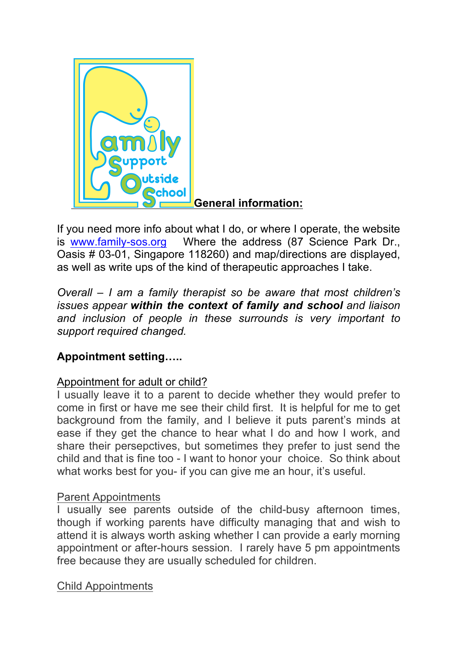

If you need more info about what I do, or where I operate, the website is www.family-sos.org Where the address (87 Science Park Dr., Oasis # 03-01, Singapore 118260) and map/directions are displayed, as well as write ups of the kind of therapeutic approaches I take.

*Overall – I am a family therapist so be aware that most children's issues appear within the context of family and school and liaison and inclusion of people in these surrounds is very important to support required changed.*

# **Appointment setting…..**

# Appointment for adult or child?

I usually leave it to a parent to decide whether they would prefer to come in first or have me see their child first. It is helpful for me to get background from the family, and I believe it puts parent's minds at ease if they get the chance to hear what I do and how I work, and share their persepctives, but sometimes they prefer to just send the child and that is fine too - I want to honor your choice. So think about what works best for you- if you can give me an hour, it's useful.

# Parent Appointments

I usually see parents outside of the child-busy afternoon times, though if working parents have difficulty managing that and wish to attend it is always worth asking whether I can provide a early morning appointment or after-hours session. I rarely have 5 pm appointments free because they are usually scheduled for children.

# Child Appointments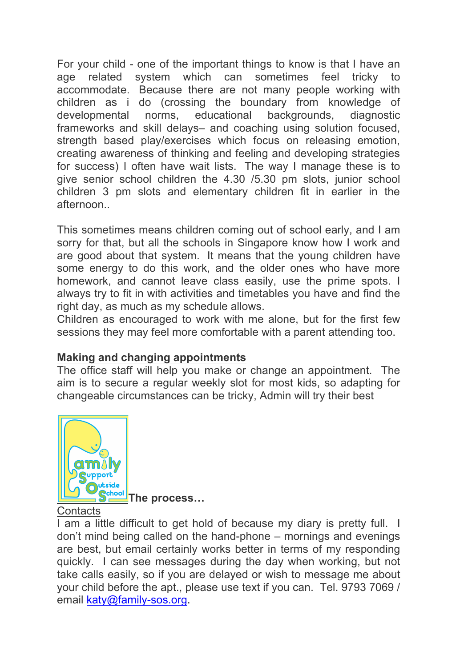For your child - one of the important things to know is that I have an age related system which can sometimes feel tricky to accommodate. Because there are not many people working with children as i do (crossing the boundary from knowledge of developmental norms, educational backgrounds, diagnostic frameworks and skill delays– and coaching using solution focused, strength based play/exercises which focus on releasing emotion, creating awareness of thinking and feeling and developing strategies for success) I often have wait lists. The way I manage these is to give senior school children the 4.30 /5.30 pm slots, junior school children 3 pm slots and elementary children fit in earlier in the afternoon..

This sometimes means children coming out of school early, and I am sorry for that, but all the schools in Singapore know how I work and are good about that system. It means that the young children have some energy to do this work, and the older ones who have more homework, and cannot leave class easily, use the prime spots. I always try to fit in with activities and timetables you have and find the right day, as much as my schedule allows.

Children as encouraged to work with me alone, but for the first few sessions they may feel more comfortable with a parent attending too.

# **Making and changing appointments**

The office staff will help you make or change an appointment. The aim is to secure a regular weekly slot for most kids, so adapting for changeable circumstances can be tricky, Admin will try their best



**The process…**

# **Contacts**

I am a little difficult to get hold of because my diary is pretty full. I don't mind being called on the hand-phone – mornings and evenings are best, but email certainly works better in terms of my responding quickly. I can see messages during the day when working, but not take calls easily, so if you are delayed or wish to message me about your child before the apt., please use text if you can. Tel. 9793 7069 / email katy@family-sos.org.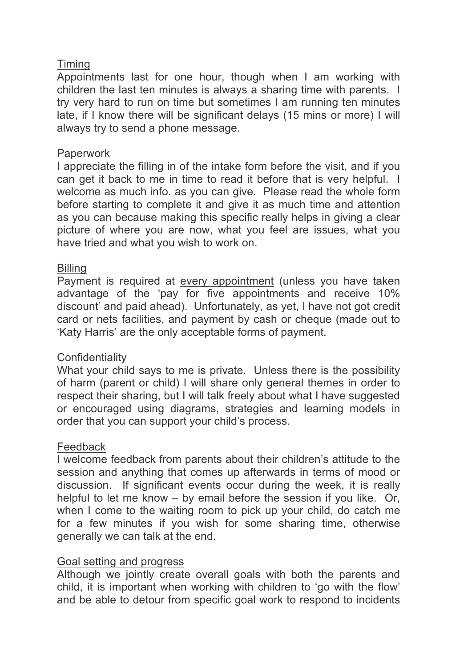# Timing

Appointments last for one hour, though when I am working with children the last ten minutes is always a sharing time with parents. I try very hard to run on time but sometimes I am running ten minutes late, if I know there will be significant delays (15 mins or more) I will always try to send a phone message.

# **Paperwork**

I appreciate the filling in of the intake form before the visit, and if you can get it back to me in time to read it before that is very helpful. I welcome as much info. as you can give. Please read the whole form before starting to complete it and give it as much time and attention as you can because making this specific really helps in giving a clear picture of where you are now, what you feel are issues, what you have tried and what you wish to work on.

# **Billing**

Payment is required at every appointment (unless you have taken advantage of the 'pay for five appointments and receive 10% discount' and paid ahead). Unfortunately, as yet, I have not got credit card or nets facilities, and payment by cash or cheque (made out to 'Katy Harris' are the only acceptable forms of payment.

# **Confidentiality**

What your child says to me is private. Unless there is the possibility of harm (parent or child) I will share only general themes in order to respect their sharing, but I will talk freely about what I have suggested or encouraged using diagrams, strategies and learning models in order that you can support your child's process.

# Feedback

I welcome feedback from parents about their children's attitude to the session and anything that comes up afterwards in terms of mood or discussion. If significant events occur during the week, it is really helpful to let me know – by email before the session if you like. Or, when I come to the waiting room to pick up your child, do catch me for a few minutes if you wish for some sharing time, otherwise generally we can talk at the end.

# Goal setting and progress

Although we jointly create overall goals with both the parents and child, it is important when working with children to 'go with the flow' and be able to detour from specific goal work to respond to incidents